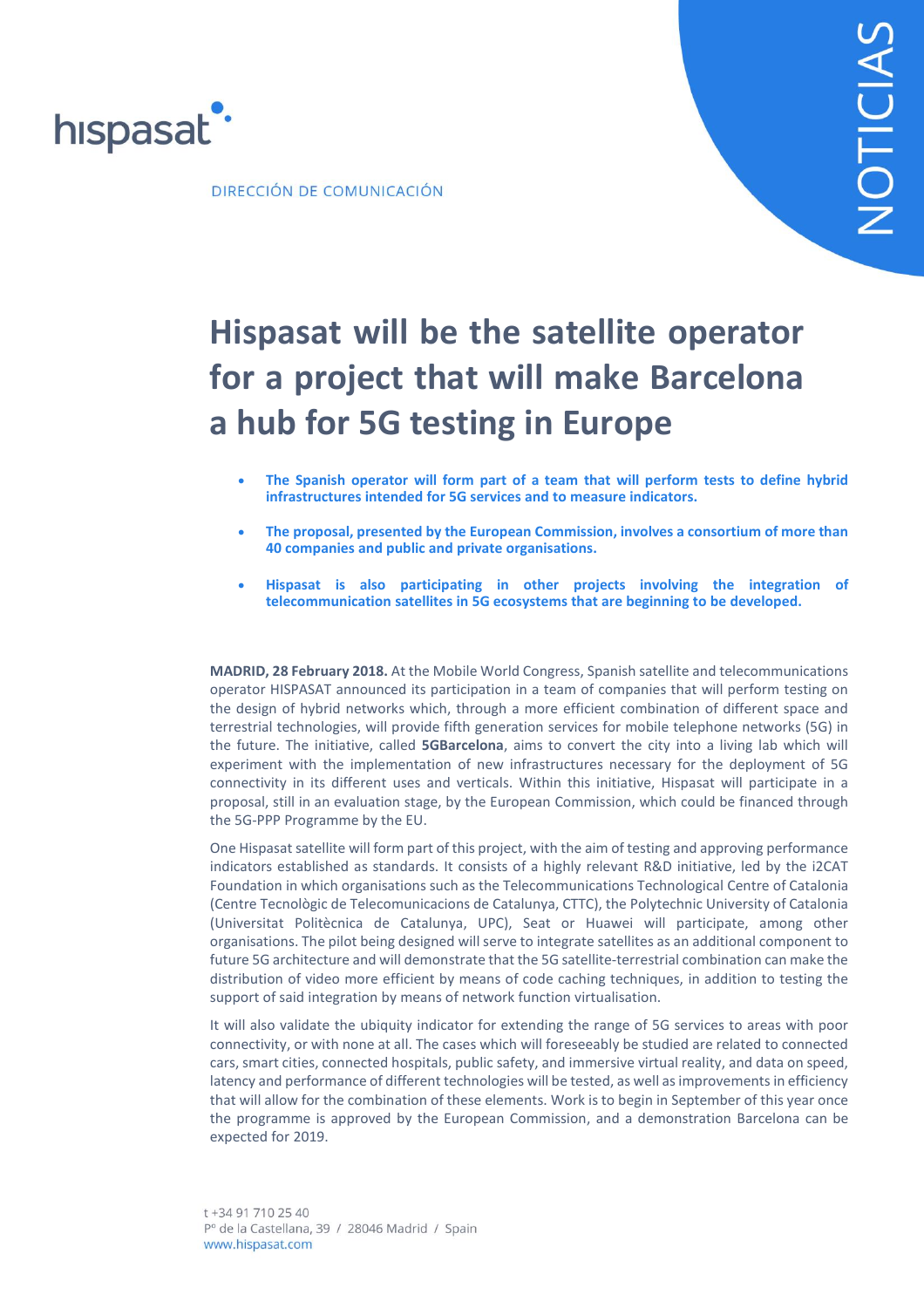

DIRECCIÓN DE COMUNICACIÓN

# **Hispasat will be the satellite operator for a project that will make Barcelona a hub for 5G testing in Europe**

- **The Spanish operator will form part of a team that will perform tests to define hybrid infrastructures intended for 5G services and to measure indicators.**
- **The proposal, presented by the European Commission, involves a consortium of more than 40 companies and public and private organisations.**
- **Hispasat is also participating in other projects involving the integration of telecommunication satellites in 5G ecosystems that are beginning to be developed.**

**MADRID, 28 February 2018.** At the Mobile World Congress, Spanish satellite and telecommunications operator HISPASAT announced its participation in a team of companies that will perform testing on the design of hybrid networks which, through a more efficient combination of different space and terrestrial technologies, will provide fifth generation services for mobile telephone networks (5G) in the future. The initiative, called **5GBarcelona**, aims to convert the city into a living lab which will experiment with the implementation of new infrastructures necessary for the deployment of 5G connectivity in its different uses and verticals. Within this initiative, Hispasat will participate in a proposal, still in an evaluation stage, by the European Commission, which could be financed through the 5G-PPP Programme by the EU.

One Hispasat satellite will form part of this project, with the aim of testing and approving performance indicators established as standards. It consists of a highly relevant R&D initiative, led by the i2CAT Foundation in which organisations such as the Telecommunications Technological Centre of Catalonia (Centre Tecnològic de Telecomunicacions de Catalunya, CTTC), the Polytechnic University of Catalonia (Universitat Politècnica de Catalunya, UPC), Seat or Huawei will participate, among other organisations. The pilot being designed will serve to integrate satellites as an additional component to future 5G architecture and will demonstrate that the 5G satellite-terrestrial combination can make the distribution of video more efficient by means of code caching techniques, in addition to testing the support of said integration by means of network function virtualisation.

It will also validate the ubiquity indicator for extending the range of 5G services to areas with poor connectivity, or with none at all. The cases which will foreseeably be studied are related to connected cars, smart cities, connected hospitals, public safety, and immersive virtual reality, and data on speed, latency and performance of different technologies will be tested, as well asimprovements in efficiency that will allow for the combination of these elements. Work is to begin in September of this year once the programme is approved by the European Commission, and a demonstration Barcelona can be expected for 2019.